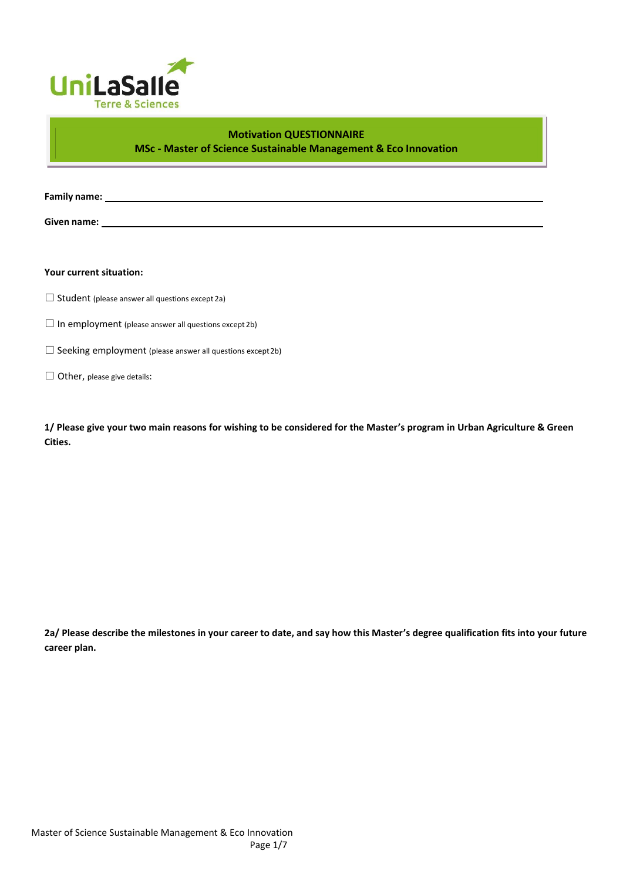

## **Motivation QUESTIONNAIRE MSc - Master of Science Sustainable Management & Eco Innovation**

**Family name:**

**Given name:**

**Your current situation:**

- $\Box$  Student (please answer all questions except 2a)
- ☐ In employment (please answer all questions except 2b)
- $\Box$  Seeking employment (please answer all questions except 2b)
- $\Box$  Other, please give details:

**1/ Please give your two main reasons for wishing to be considered for the Master's program in Urban Agriculture & Green Cities.**

**2a/ Please describe the milestones in your career to date, and say how this Master's degree qualification fits into your future career plan.**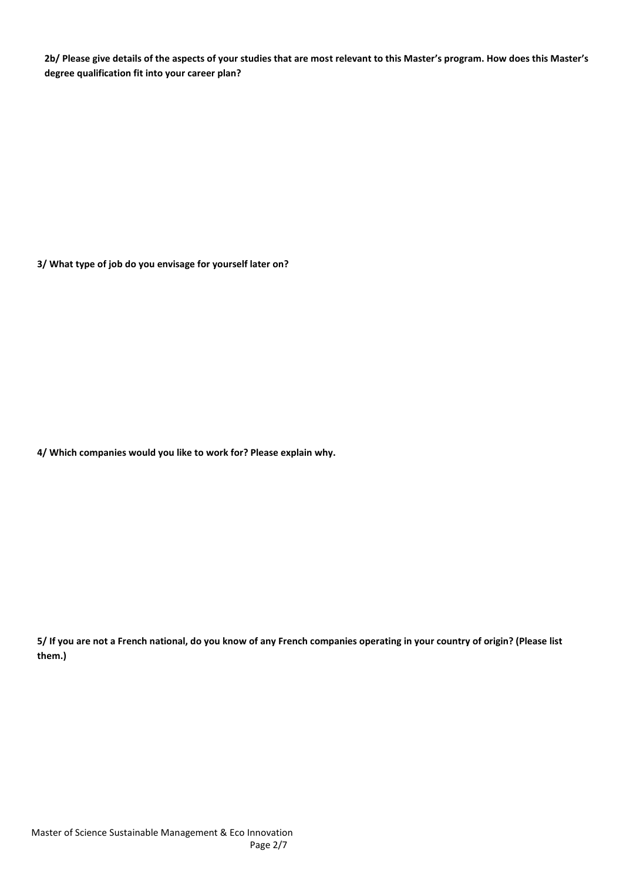**2b/ Please give details of the aspects of your studies that are most relevant to this Master's program. How does this Master's degree qualification fit into your career plan?**

**3/ What type of job do you envisage for yourself later on?**

**4/ Which companies would you like to work for? Please explain why.**

**5/ If you are not a French national, do you know of any French companies operating in your country of origin? (Please list them.)**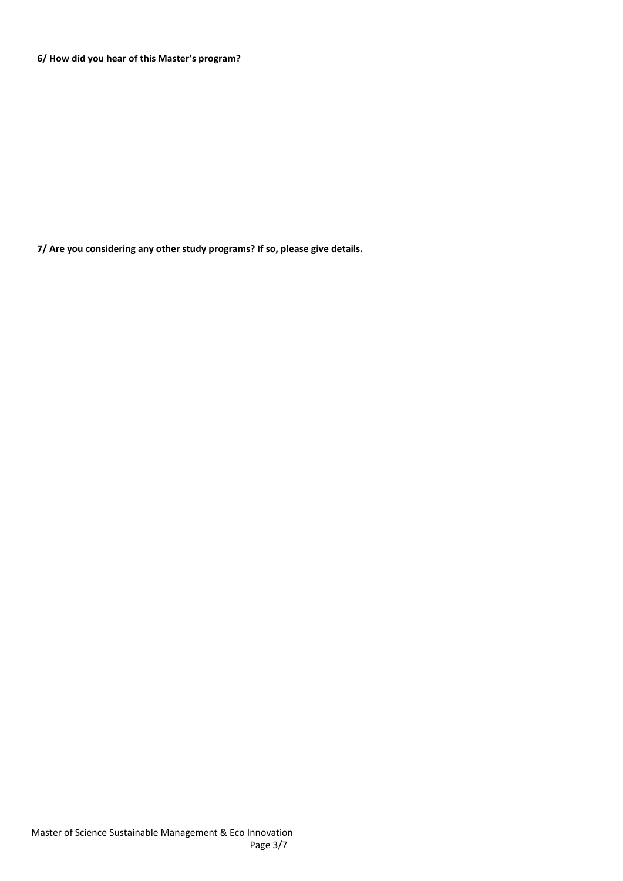**6/ How did you hear of this Master's program?**

**7/ Are you considering any other study programs? If so, please give details.**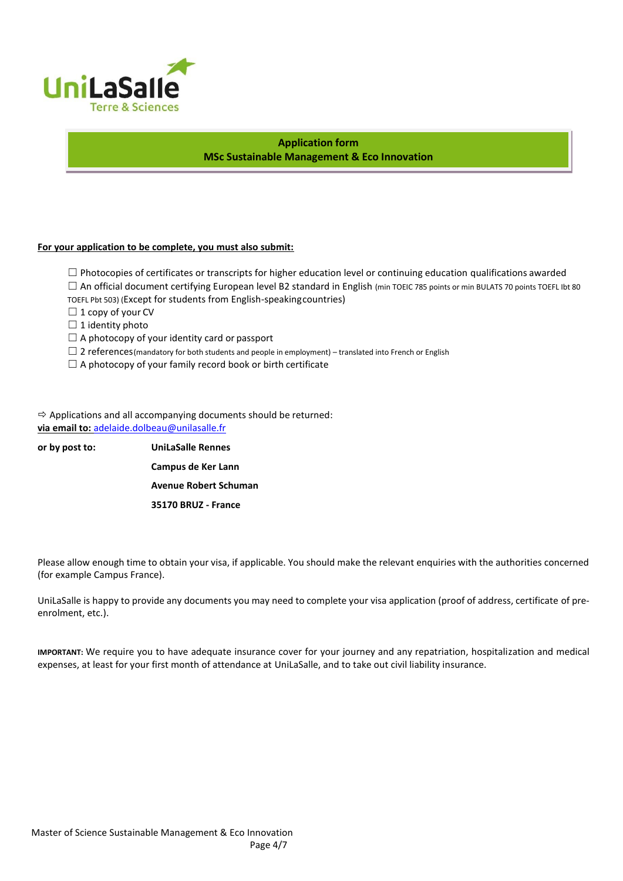

## **Application form MSc Sustainable Management & Eco Innovation**

#### **For your application to be complete, you must also submit:**

- $\Box$  Photocopies of certificates or transcripts for higher education level or continuing education qualifications awarded
- $\Box$  An official document certifying European level B2 standard in English (min TOEIC 785 points or min BULATS 70 points TOEFL Ibt 80 TOEFL Pbt 503) (Except for students from English-speakingcountries)
- $\Box$  1 copy of your CV
- $\Box$  1 identity photo
- $\Box$  A photocopy of your identity card or passport
- $\Box$  2 references(mandatory for both students and people in employment) translated into French or English
- $\Box$  A photocopy of your family record book or birth certificate

 $\Rightarrow$  Applications and all accompanying documents should be returned: **via email to:** adelaide.dolbeau@unilasalle.fr

**or by post to: UniLaSalle Rennes Campus de Ker Lann Avenue Robert Schuman 35170 BRUZ - France**

Please allow enough time to obtain your visa, if applicable. You should make the relevant enquiries with the authorities concerned (for example Campus France).

UniLaSalle is happy to provide any documents you may need to complete your visa application (proof of address, certificate of preenrolment, etc.).

**IMPORTANT:** We require you to have adequate insurance cover for your journey and any repatriation, hospitalization and medical expenses, at least for your first month of attendance at UniLaSalle, and to take out civil liability insurance.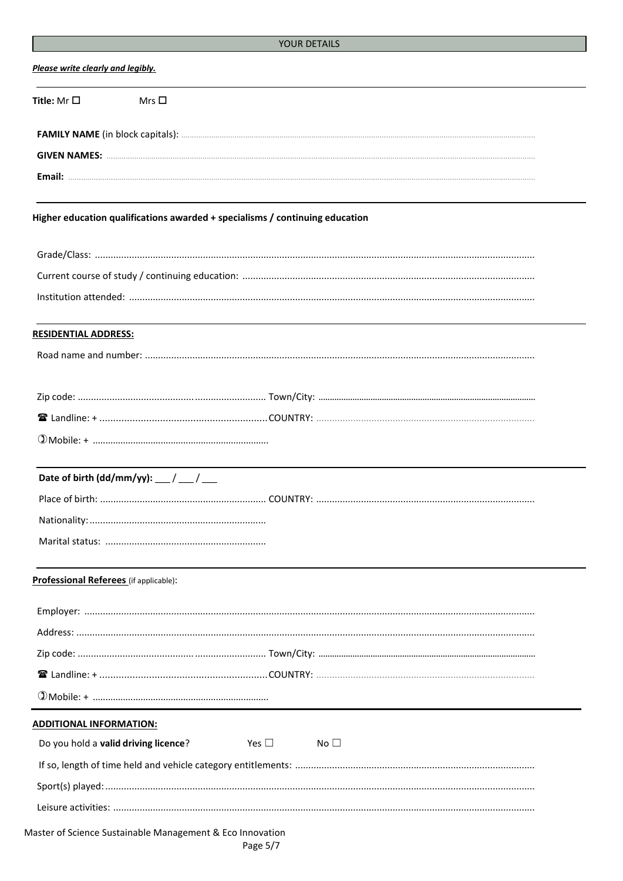|                                                                              | YOUR DETAILS                     |
|------------------------------------------------------------------------------|----------------------------------|
| Please write clearly and legibly.                                            |                                  |
| Title: $Mr\Box$<br>Mrs $\Box$                                                |                                  |
|                                                                              |                                  |
|                                                                              |                                  |
|                                                                              |                                  |
| Higher education qualifications awarded + specialisms / continuing education |                                  |
|                                                                              |                                  |
|                                                                              |                                  |
|                                                                              |                                  |
| <b>RESIDENTIAL ADDRESS:</b>                                                  |                                  |
|                                                                              |                                  |
|                                                                              |                                  |
|                                                                              |                                  |
|                                                                              |                                  |
| Date of birth (dd/mm/yy): $\frac{1}{2}$ / $\frac{1}{2}$                      |                                  |
| Place of birth:                                                              | <b>COUNTRY:</b>                  |
|                                                                              |                                  |
|                                                                              |                                  |
| Professional Referees (if applicable):                                       |                                  |
|                                                                              |                                  |
|                                                                              |                                  |
|                                                                              |                                  |
|                                                                              |                                  |
|                                                                              |                                  |
| <b>ADDITIONAL INFORMATION:</b>                                               |                                  |
| Do you hold a valid driving licence?                                         | Yes $\square$<br>No <sub>1</sub> |
|                                                                              |                                  |
|                                                                              |                                  |
|                                                                              |                                  |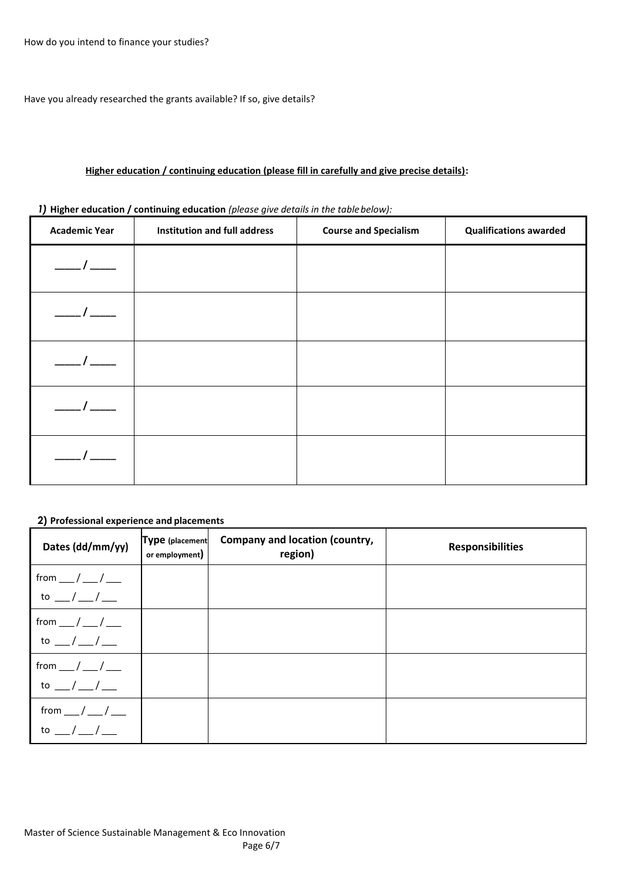Have you already researched the grants available? If so, give details?

### **Higher education / continuing education (please fill in carefully and give precise details):**

| <b>Academic Year</b> | Institution and full address | <b>Course and Specialism</b> | <b>Qualifications awarded</b> |
|----------------------|------------------------------|------------------------------|-------------------------------|
|                      |                              |                              |                               |
|                      |                              |                              |                               |
|                      |                              |                              |                               |
|                      |                              |                              |                               |
|                      |                              |                              |                               |

#### *1)* **Higher education / continuing education** *(please give details in the tablebelow):*

#### **2) Professional experience and placements**

| Dates (dd/mm/yy)                                                  | or employment) | Type (placement Company and location (country,<br>region) | <b>Responsibilities</b> |
|-------------------------------------------------------------------|----------------|-----------------------------------------------------------|-------------------------|
| from $\frac{\mu}{\sigma}$ / $\frac{\mu}{\sigma}$<br>to $/$ $/$    |                |                                                           |                         |
| from $\frac{\mu}{\mu}$ / $\frac{\mu}{\mu}$<br>to / /              |                |                                                           |                         |
| from $\frac{1}{2}$ / $\frac{1}{2}$<br>to $/$ $/$                  |                |                                                           |                         |
| from $\frac{\ }{\ }$ / $\frac{\ }{\ }$ / $\frac{\ }{\ }$<br>to to |                |                                                           |                         |